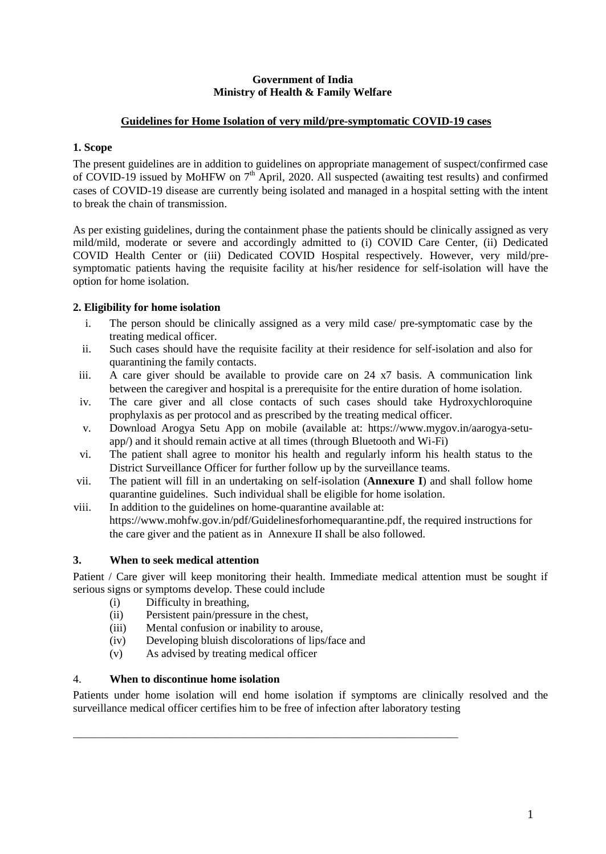### **Government of India Ministry of Health & Family Welfare**

# **Guidelines for Home Isolation of very mild/pre-symptomatic COVID-19 cases**

## **1. Scope**

The present guidelines are in addition to guidelines on appropriate management of suspect/confirmed case of COVID-19 issued by MoHFW on 7<sup>th</sup> April, 2020. All suspected (awaiting test results) and confirmed cases of COVID-19 disease are currently being isolated and managed in a hospital setting with the intent to break the chain of transmission.

As per existing guidelines, during the containment phase the patients should be clinically assigned as very mild/mild, moderate or severe and accordingly admitted to (i) COVID Care Center, (ii) Dedicated COVID Health Center or (iii) Dedicated COVID Hospital respectively. However, very mild/presymptomatic patients having the requisite facility at his/her residence for self-isolation will have the option for home isolation.

# **2. Eligibility for home isolation**

- i. The person should be clinically assigned as a very mild case/ pre-symptomatic case by the treating medical officer.
- ii. Such cases should have the requisite facility at their residence for self-isolation and also for quarantining the family contacts.
- iii. A care giver should be available to provide care on 24 x7 basis. A communication link between the caregiver and hospital is a prerequisite for the entire duration of home isolation.
- iv. The care giver and all close contacts of such cases should take Hydroxychloroquine prophylaxis as per protocol and as prescribed by the treating medical officer.
- v. Download Arogya Setu App on mobile (available at: https://www.mygov.in/aarogya-setuapp/) and it should remain active at all times (through Bluetooth and Wi-Fi)
- vi. The patient shall agree to monitor his health and regularly inform his health status to the District Surveillance Officer for further follow up by the surveillance teams.
- vii. The patient will fill in an undertaking on self-isolation (**Annexure I**) and shall follow home quarantine guidelines. Such individual shall be eligible for home isolation.
- viii. In addition to the guidelines on home-quarantine available at: [https://www.mohfw.gov.in/pdf/Guidelinesforhomequarantine.pdf,](https://www.mohfw.gov.in/pdf/Guidelinesforhomequarantine.pdf) the required instructions for the care giver and the patient as in Annexure II shall be also followed.

# **3. When to seek medical attention**

Patient / Care giver will keep monitoring their health. Immediate medical attention must be sought if serious signs or symptoms develop. These could include

- (i) Difficulty in breathing,
- (ii) Persistent pain/pressure in the chest,
- (iii) Mental confusion or inability to arouse,
- (iv) Developing bluish discolorations of lips/face and

\_\_\_\_\_\_\_\_\_\_\_\_\_\_\_\_\_\_\_\_\_\_\_\_\_\_\_\_\_\_\_\_\_\_\_\_\_\_\_\_\_\_\_\_\_\_\_\_\_\_\_\_\_\_\_\_\_\_\_\_\_\_\_\_\_\_\_\_\_\_\_\_\_\_\_\_

(v) As advised by treating medical officer

#### 4. **When to discontinue home isolation**

Patients under home isolation will end home isolation if symptoms are clinically resolved and the surveillance medical officer certifies him to be free of infection after laboratory testing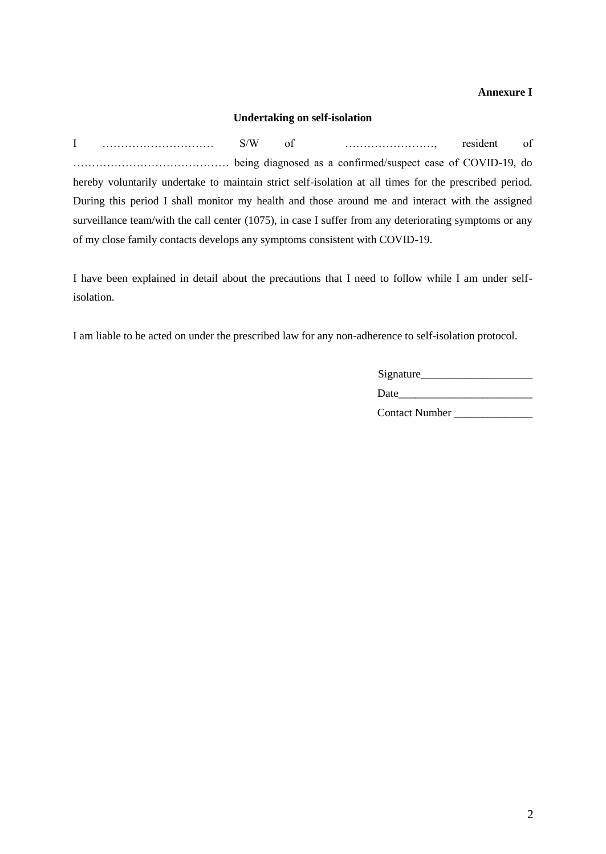## **Annexure I**

### **Undertaking on self-isolation**

I ………………………… S/W of ……………………, resident of …………………………………… being diagnosed as a confirmed/suspect case of COVID-19, do hereby voluntarily undertake to maintain strict self-isolation at all times for the prescribed period. During this period I shall monitor my health and those around me and interact with the assigned surveillance team/with the call center (1075), in case I suffer from any deteriorating symptoms or any of my close family contacts develops any symptoms consistent with COVID-19.

I have been explained in detail about the precautions that I need to follow while I am under selfisolation.

I am liable to be acted on under the prescribed law for any non-adherence to self-isolation protocol.

| Signature_            |  |
|-----------------------|--|
| Date                  |  |
| <b>Contact Number</b> |  |